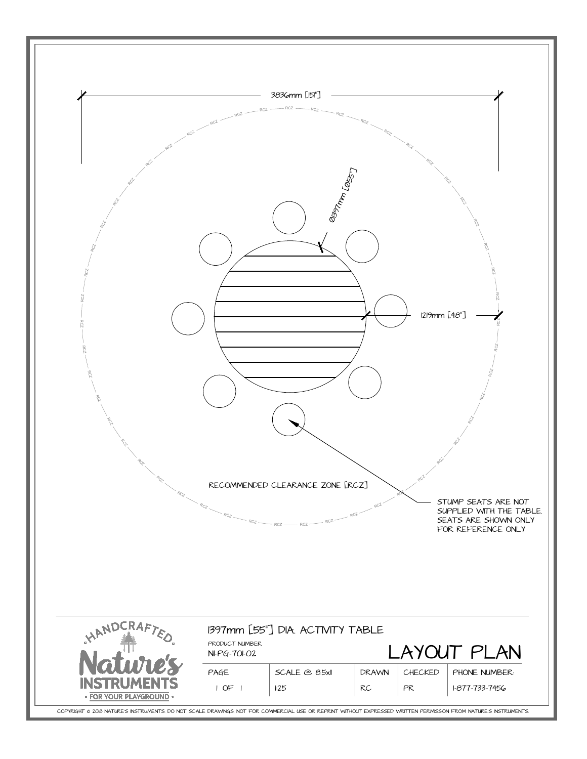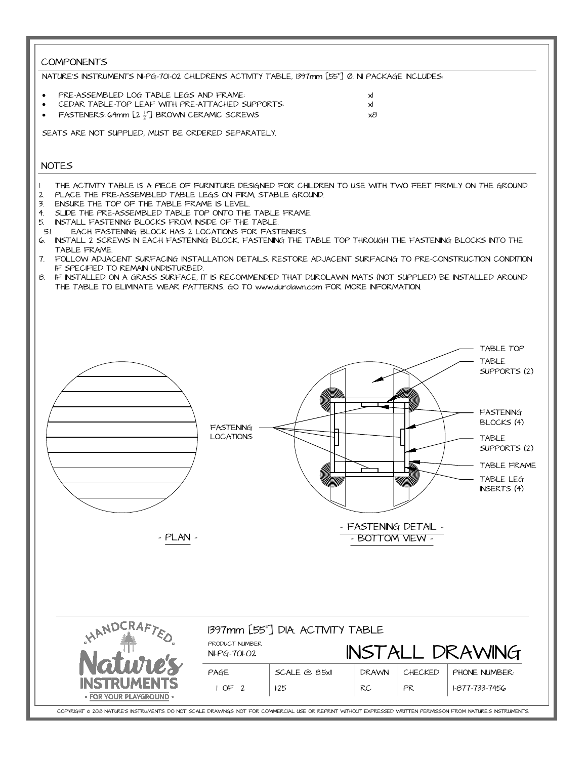